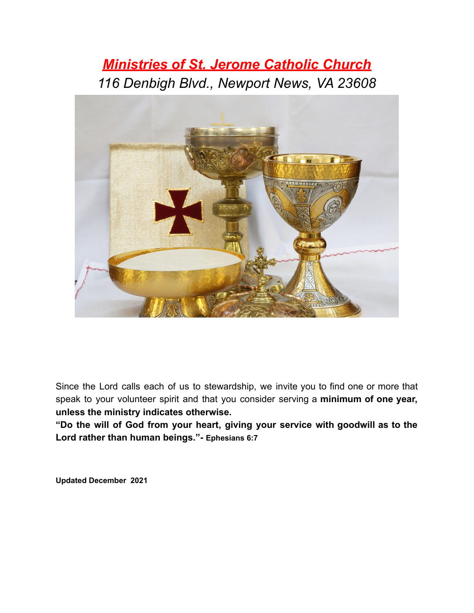# *Ministries of St. Jerome Catholic Church 116 Denbigh Blvd., Newport News, VA 23608*



Since the Lord calls each of us to stewardship, we invite you to find one or more that speak to your volunteer spirit and that you consider serving a **minimum of one year, unless the ministry indicates otherwise.**

**"Do the will of God from your heart, giving your service with goodwill as to the Lord rather than human beings."- Ephesians 6:7**

**Updated December 2021**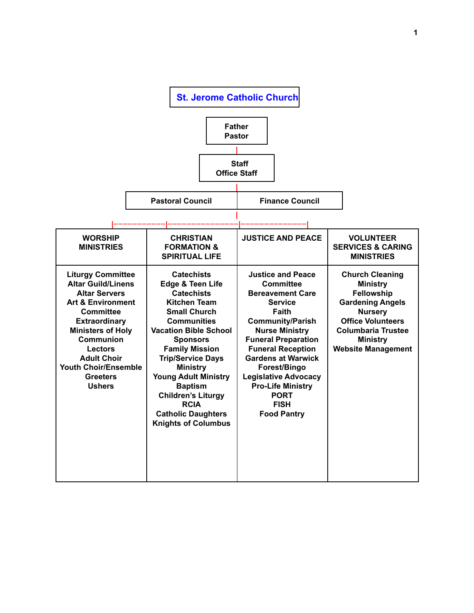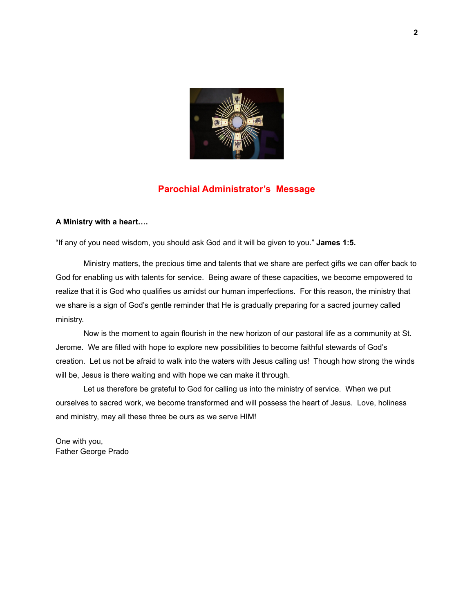

#### **Parochial Administrator's Message**

#### **A Ministry with a heart….**

"If any of you need wisdom, you should ask God and it will be given to you." **James 1:5.**

Ministry matters, the precious time and talents that we share are perfect gifts we can offer back to God for enabling us with talents for service. Being aware of these capacities, we become empowered to realize that it is God who qualifies us amidst our human imperfections. For this reason, the ministry that we share is a sign of God's gentle reminder that He is gradually preparing for a sacred journey called ministry.

Now is the moment to again flourish in the new horizon of our pastoral life as a community at St. Jerome. We are filled with hope to explore new possibilities to become faithful stewards of God's creation. Let us not be afraid to walk into the waters with Jesus calling us! Though how strong the winds will be, Jesus is there waiting and with hope we can make it through.

Let us therefore be grateful to God for calling us into the ministry of service. When we put ourselves to sacred work, we become transformed and will possess the heart of Jesus. Love, holiness and ministry, may all these three be ours as we serve HIM!

One with you, Father George Prado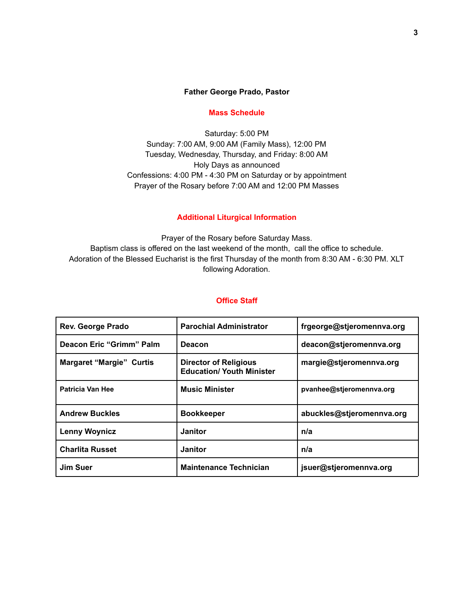#### **Father George Prado, Pastor**

#### **Mass Schedule**

Saturday: 5:00 PM Sunday: 7:00 AM, 9:00 AM (Family Mass), 12:00 PM Tuesday, Wednesday, Thursday, and Friday: 8:00 AM Holy Days as announced Confessions: 4:00 PM - 4:30 PM on Saturday or by appointment Prayer of the Rosary before 7:00 AM and 12:00 PM Masses

#### **Additional Liturgical Information**

Prayer of the Rosary before Saturday Mass. Baptism class is offered on the last weekend of the month, call the office to schedule. Adoration of the Blessed Eucharist is the first Thursday of the month from 8:30 AM - 6:30 PM. XLT following Adoration.

#### **Office Staff**

| <b>Rev. George Prado</b>        | <b>Parochial Administrator</b>                                   | frgeorge@stjeromennva.org |
|---------------------------------|------------------------------------------------------------------|---------------------------|
| Deacon Eric "Grimm" Palm        | <b>Deacon</b>                                                    | deacon@stjeromennva.org   |
| <b>Margaret "Margie" Curtis</b> | <b>Director of Religious</b><br><b>Education/ Youth Minister</b> | margie@stjeromennva.org   |
| Patricia Van Hee                | <b>Music Minister</b>                                            | pvanhee@stjeromennva.org  |
| <b>Andrew Buckles</b>           | <b>Bookkeeper</b>                                                | abuckles@stjeromennva.org |
| <b>Lenny Woynicz</b>            | <b>Janitor</b>                                                   | n/a                       |
| <b>Charlita Russet</b>          | <b>Janitor</b>                                                   | n/a                       |
| Jim Suer                        | <b>Maintenance Technician</b>                                    | jsuer@stjeromennva.org    |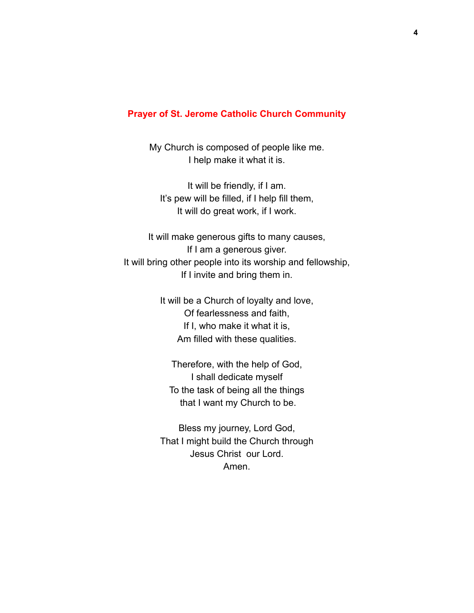#### **Prayer of St. Jerome Catholic Church Community**

My Church is composed of people like me. I help make it what it is.

It will be friendly, if I am. It's pew will be filled, if I help fill them, It will do great work, if I work.

It will make generous gifts to many causes, If I am a generous giver. It will bring other people into its worship and fellowship, If I invite and bring them in.

> It will be a Church of loyalty and love, Of fearlessness and faith, If I, who make it what it is, Am filled with these qualities.

Therefore, with the help of God, I shall dedicate myself To the task of being all the things that I want my Church to be.

Bless my journey, Lord God, That I might build the Church through Jesus Christ our Lord. Amen.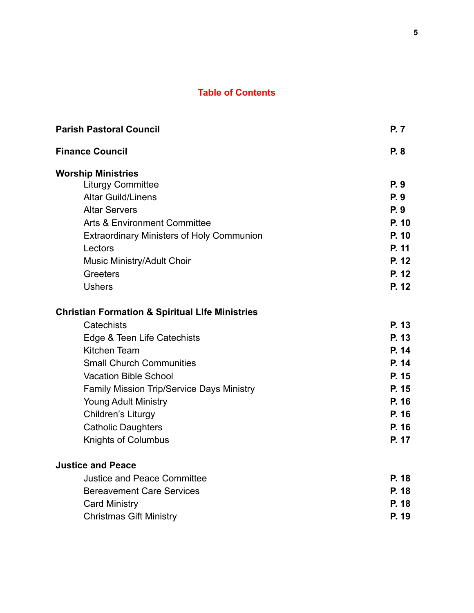# **Table of Contents**

| <b>Parish Pastoral Council</b>                             | <b>P.7</b> |
|------------------------------------------------------------|------------|
| <b>Finance Council</b>                                     | P. 8       |
| <b>Worship Ministries</b>                                  |            |
| <b>Liturgy Committee</b>                                   | P. 9       |
| <b>Altar Guild/Linens</b>                                  | P. 9       |
| <b>Altar Servers</b>                                       | <b>P.9</b> |
| <b>Arts &amp; Environment Committee</b>                    | P. 10      |
| <b>Extraordinary Ministers of Holy Communion</b>           | P. 10      |
| Lectors                                                    | P. 11      |
| Music Ministry/Adult Choir                                 | P. 12      |
| Greeters                                                   | P. 12      |
| <b>Ushers</b>                                              | P. 12      |
| <b>Christian Formation &amp; Spiritual Life Ministries</b> |            |
| Catechists                                                 | P. 13      |
| Edge & Teen Life Catechists                                | P. 13      |
| Kitchen Team                                               | P. 14      |
| <b>Small Church Communities</b>                            | P. 14      |
| <b>Vacation Bible School</b>                               | P. 15      |
| <b>Family Mission Trip/Service Days Ministry</b>           | P. 15      |
| <b>Young Adult Ministry</b>                                | P. 16      |
| Children's Liturgy                                         | P. 16      |
| <b>Catholic Daughters</b>                                  | P. 16      |
| <b>Knights of Columbus</b>                                 | P. 17      |
| <b>Justice and Peace</b>                                   |            |
| <b>Justice and Peace Committee</b>                         | P. 18      |
| <b>Bereavement Care Services</b>                           | P. 18      |
| <b>Card Ministry</b>                                       | P. 18      |
| <b>Christmas Gift Ministry</b>                             | P. 19      |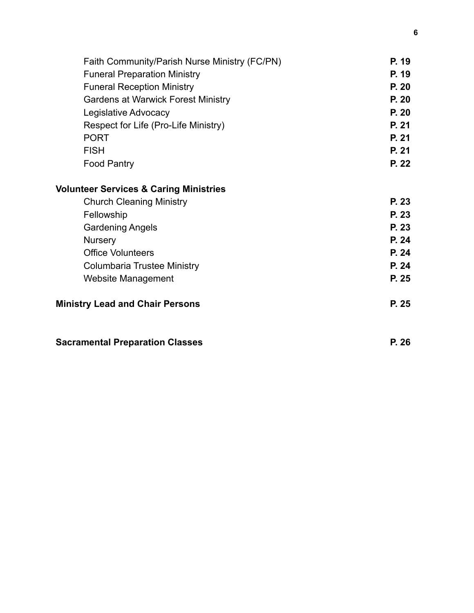| Faith Community/Parish Nurse Ministry (FC/PN)     | P. 19 |
|---------------------------------------------------|-------|
| <b>Funeral Preparation Ministry</b>               | P. 19 |
| <b>Funeral Reception Ministry</b>                 | P. 20 |
| <b>Gardens at Warwick Forest Ministry</b>         | P. 20 |
| Legislative Advocacy                              | P. 20 |
| Respect for Life (Pro-Life Ministry)              | P. 21 |
| <b>PORT</b>                                       | P. 21 |
| <b>FISH</b>                                       | P. 21 |
| <b>Food Pantry</b>                                | P. 22 |
| <b>Volunteer Services &amp; Caring Ministries</b> |       |
| <b>Church Cleaning Ministry</b>                   | P. 23 |
| Fellowship                                        | P. 23 |
| <b>Gardening Angels</b>                           | P. 23 |
| <b>Nursery</b>                                    | P. 24 |
| <b>Office Volunteers</b>                          | P. 24 |
| Columbaria Trustee Ministry                       | P. 24 |
| Website Management                                | P. 25 |
| <b>Ministry Lead and Chair Persons</b>            | P. 25 |
|                                                   |       |

| <b>Sacramental Preparation Classes</b> | P. 26 |
|----------------------------------------|-------|
|----------------------------------------|-------|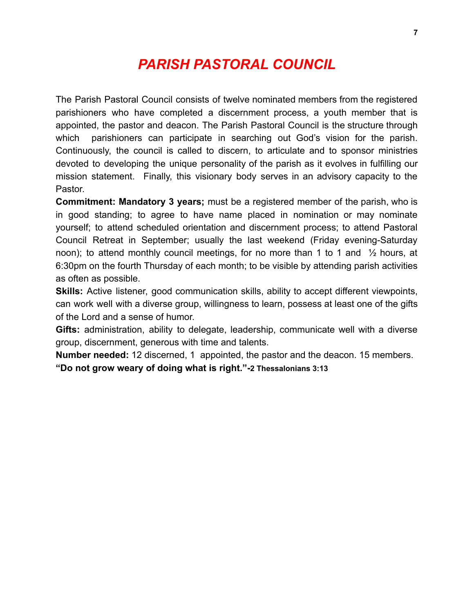# *PARISH PASTORAL COUNCIL*

The Parish Pastoral Council consists of twelve nominated members from the registered parishioners who have completed a discernment process, a youth member that is appointed, the pastor and deacon. The Parish Pastoral Council is the structure through which parishioners can participate in searching out God's vision for the parish. Continuously, the council is called to discern, to articulate and to sponsor ministries devoted to developing the unique personality of the parish as it evolves in fulfilling our mission statement. Finally, this visionary body serves in an advisory capacity to the Pastor.

**Commitment: Mandatory 3 years;** must be a registered member of the parish, who is in good standing; to agree to have name placed in nomination or may nominate yourself; to attend scheduled orientation and discernment process; to attend Pastoral Council Retreat in September; usually the last weekend (Friday evening-Saturday noon); to attend monthly council meetings, for no more than 1 to 1 and ½ hours, at 6:30pm on the fourth Thursday of each month; to be visible by attending parish activities as often as possible.

**Skills:** Active listener, good communication skills, ability to accept different viewpoints, can work well with a diverse group, willingness to learn, possess at least one of the gifts of the Lord and a sense of humor.

**Gifts:** administration, ability to delegate, leadership, communicate well with a diverse group, discernment, generous with time and talents.

**Number needed:** 12 discerned, 1 appointed, the pastor and the deacon. 15 members. **"Do not grow weary of doing what is right."-2 Thessalonians 3:13**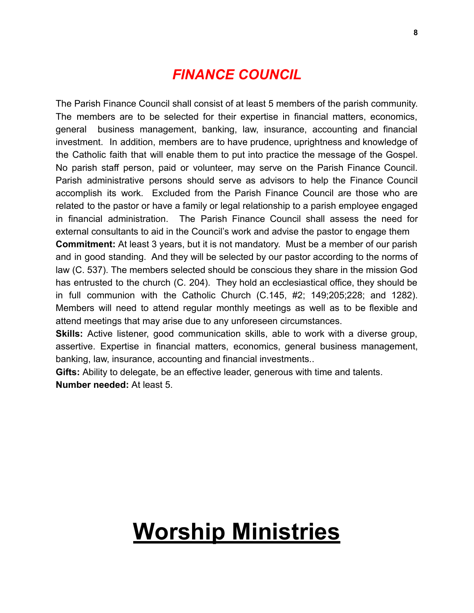# *FINANCE COUNCIL*

The Parish Finance Council shall consist of at least 5 members of the parish community. The members are to be selected for their expertise in financial matters, economics, general business management, banking, law, insurance, accounting and financial investment. In addition, members are to have prudence, uprightness and knowledge of the Catholic faith that will enable them to put into practice the message of the Gospel. No parish staff person, paid or volunteer, may serve on the Parish Finance Council. Parish administrative persons should serve as advisors to help the Finance Council accomplish its work. Excluded from the Parish Finance Council are those who are related to the pastor or have a family or legal relationship to a parish employee engaged in financial administration. The Parish Finance Council shall assess the need for external consultants to aid in the Council's work and advise the pastor to engage them **Commitment:** At least 3 years, but it is not mandatory. Must be a member of our parish and in good standing. And they will be selected by our pastor according to the norms of law (C. 537). The members selected should be conscious they share in the mission God has entrusted to the church (C. 204). They hold an ecclesiastical office, they should be in full communion with the Catholic Church (C.145, #2; 149;205;228; and 1282). Members will need to attend regular monthly meetings as well as to be flexible and attend meetings that may arise due to any unforeseen circumstances.

**Skills:** Active listener, good communication skills, able to work with a diverse group, assertive. Expertise in financial matters, economics, general business management, banking, law, insurance, accounting and financial investments..

**Gifts:** Ability to delegate, be an effective leader, generous with time and talents. **Number needed:** At least 5.

# **Worship Ministries**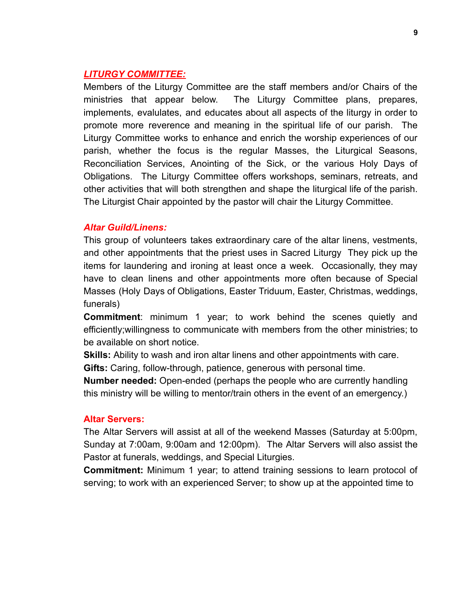#### *LITURGY COMMITTEE:*

Members of the Liturgy Committee are the staff members and/or Chairs of the ministries that appear below. The Liturgy Committee plans, prepares, implements, evalulates, and educates about all aspects of the liturgy in order to promote more reverence and meaning in the spiritual life of our parish. The Liturgy Committee works to enhance and enrich the worship experiences of our parish, whether the focus is the regular Masses, the Liturgical Seasons, Reconciliation Services, Anointing of the Sick, or the various Holy Days of Obligations. The Liturgy Committee offers workshops, seminars, retreats, and other activities that will both strengthen and shape the liturgical life of the parish. The Liturgist Chair appointed by the pastor will chair the Liturgy Committee.

#### *Altar Guild/Linens:*

This group of volunteers takes extraordinary care of the altar linens, vestments, and other appointments that the priest uses in Sacred Liturgy They pick up the items for laundering and ironing at least once a week. Occasionally, they may have to clean linens and other appointments more often because of Special Masses (Holy Days of Obligations, Easter Triduum, Easter, Christmas, weddings, funerals)

**Commitment**: minimum 1 year; to work behind the scenes quietly and efficiently;willingness to communicate with members from the other ministries; to be available on short notice.

**Skills:** Ability to wash and iron altar linens and other appointments with care.

**Gifts:** Caring, follow-through, patience, generous with personal time.

**Number needed:** Open-ended (perhaps the people who are currently handling this ministry will be willing to mentor/train others in the event of an emergency.)

#### **Altar Servers:**

The Altar Servers will assist at all of the weekend Masses (Saturday at 5:00pm, Sunday at 7:00am, 9:00am and 12:00pm). The Altar Servers will also assist the Pastor at funerals, weddings, and Special Liturgies.

**Commitment:** Minimum 1 year; to attend training sessions to learn protocol of serving; to work with an experienced Server; to show up at the appointed time to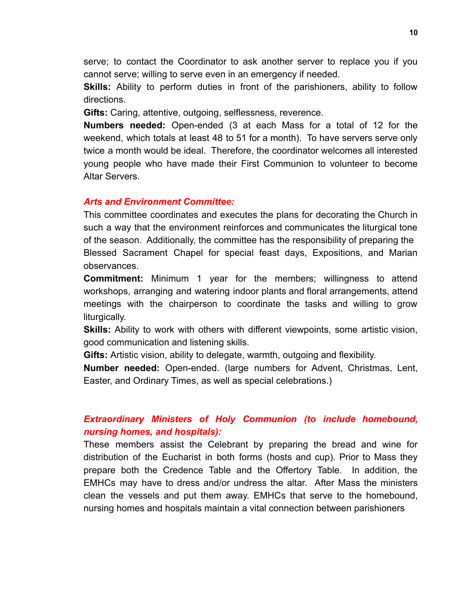serve; to contact the Coordinator to ask another server to replace you if you cannot serve; willing to serve even in an emergency if needed.

**Skills:** Ability to perform duties in front of the parishioners, ability to follow directions.

**Gifts:** Caring, attentive, outgoing, selflessness, reverence.

**Numbers needed:** Open-ended (3 at each Mass for a total of 12 for the weekend, which totals at least 48 to 51 for a month). To have servers serve only twice a month would be ideal. Therefore, the coordinator welcomes all interested young people who have made their First Communion to volunteer to become Altar Servers.

#### *Arts and Environment Committee:*

This committee coordinates and executes the plans for decorating the Church in such a way that the environment reinforces and communicates the liturgical tone of the season. Additionally, the committee has the responsibility of preparing the Blessed Sacrament Chapel for special feast days, Expositions, and Marian observances.

**Commitment:** Minimum 1 year for the members; willingness to attend workshops, arranging and watering indoor plants and floral arrangements, attend meetings with the chairperson to coordinate the tasks and willing to grow liturgically.

**Skills:** Ability to work with others with different viewpoints, some artistic vision, good communication and listening skills.

**Gifts:** Artistic vision, ability to delegate, warmth, outgoing and flexibility.

**Number needed:** Open-ended. (large numbers for Advent, Christmas, Lent, Easter, and Ordinary Times, as well as special celebrations.)

# *Extraordinary Ministers of Holy Communion (to include homebound, nursing homes, and hospitals):*

These members assist the Celebrant by preparing the bread and wine for distribution of the Eucharist in both forms (hosts and cup). Prior to Mass they prepare both the Credence Table and the Offertory Table. In addition, the EMHCs may have to dress and/or undress the altar. After Mass the ministers clean the vessels and put them away. EMHCs that serve to the homebound, nursing homes and hospitals maintain a vital connection between parishioners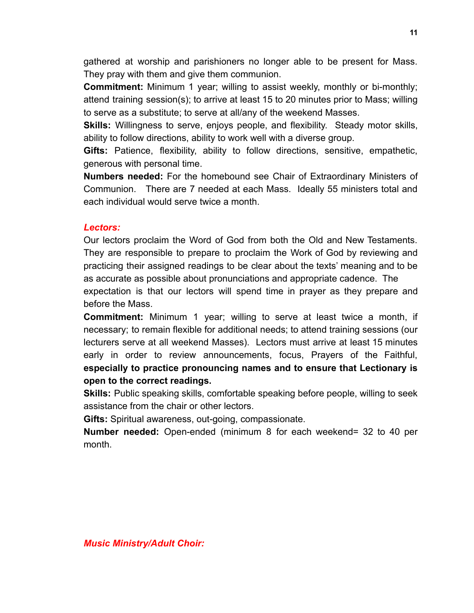gathered at worship and parishioners no longer able to be present for Mass. They pray with them and give them communion.

**Commitment:** Minimum 1 year; willing to assist weekly, monthly or bi-monthly; attend training session(s); to arrive at least 15 to 20 minutes prior to Mass; willing to serve as a substitute; to serve at all/any of the weekend Masses.

**Skills:** Willingness to serve, enjoys people, and flexibility. Steady motor skills, ability to follow directions, ability to work well with a diverse group.

**Gifts:** Patience, flexibility, ability to follow directions, sensitive, empathetic, generous with personal time.

**Numbers needed:** For the homebound see Chair of Extraordinary Ministers of Communion. There are 7 needed at each Mass. Ideally 55 ministers total and each individual would serve twice a month.

## *Lectors:*

Our lectors proclaim the Word of God from both the Old and New Testaments. They are responsible to prepare to proclaim the Work of God by reviewing and practicing their assigned readings to be clear about the texts' meaning and to be as accurate as possible about pronunciations and appropriate cadence. The

expectation is that our lectors will spend time in prayer as they prepare and before the Mass.

**Commitment:** Minimum 1 year; willing to serve at least twice a month, if necessary; to remain flexible for additional needs; to attend training sessions (our lecturers serve at all weekend Masses). Lectors must arrive at least 15 minutes early in order to review announcements, focus, Prayers of the Faithful, **especially to practice pronouncing names and to ensure that Lectionary is open to the correct readings.**

**Skills:** Public speaking skills, comfortable speaking before people, willing to seek assistance from the chair or other lectors.

**Gifts:** Spiritual awareness, out-going, compassionate.

**Number needed:** Open-ended (minimum 8 for each weekend= 32 to 40 per month.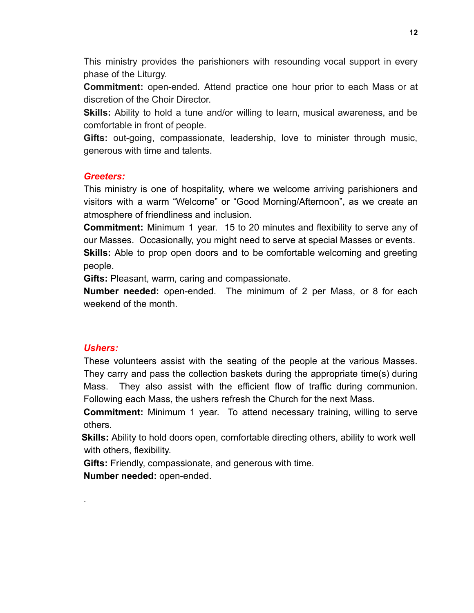This ministry provides the parishioners with resounding vocal support in every phase of the Liturgy.

**Commitment:** open-ended. Attend practice one hour prior to each Mass or at discretion of the Choir Director.

**Skills:** Ability to hold a tune and/or willing to learn, musical awareness, and be comfortable in front of people.

**Gifts:** out-going, compassionate, leadership, love to minister through music, generous with time and talents.

### *Greeters:*

This ministry is one of hospitality, where we welcome arriving parishioners and visitors with a warm "Welcome" or "Good Morning/Afternoon", as we create an atmosphere of friendliness and inclusion.

**Commitment:** Minimum 1 year. 15 to 20 minutes and flexibility to serve any of our Masses. Occasionally, you might need to serve at special Masses or events.

**Skills:** Able to prop open doors and to be comfortable welcoming and greeting people.

**Gifts:** Pleasant, warm, caring and compassionate.

**Number needed:** open-ended. The minimum of 2 per Mass, or 8 for each weekend of the month.

## *Ushers:*

.

These volunteers assist with the seating of the people at the various Masses. They carry and pass the collection baskets during the appropriate time(s) during Mass. They also assist with the efficient flow of traffic during communion. Following each Mass, the ushers refresh the Church for the next Mass.

**Commitment:** Minimum 1 year. To attend necessary training, willing to serve others.

**Skills:** Ability to hold doors open, comfortable directing others, ability to work well with others, flexibility.

**Gifts:** Friendly, compassionate, and generous with time.

**Number needed:** open-ended.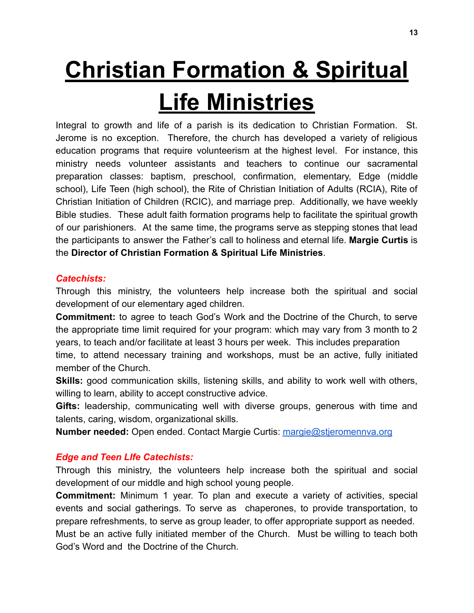# **Christian Formation & Spiritual Life Ministries**

Integral to growth and life of a parish is its dedication to Christian Formation. St. Jerome is no exception. Therefore, the church has developed a variety of religious education programs that require volunteerism at the highest level. For instance, this ministry needs volunteer assistants and teachers to continue our sacramental preparation classes: baptism, preschool, confirmation, elementary, Edge (middle school), Life Teen (high school), the Rite of Christian Initiation of Adults (RCIA), Rite of Christian Initiation of Children (RCIC), and marriage prep. Additionally, we have weekly Bible studies. These adult faith formation programs help to facilitate the spiritual growth of our parishioners. At the same time, the programs serve as stepping stones that lead the participants to answer the Father's call to holiness and eternal life. **Margie Curtis** is the **Director of Christian Formation & Spiritual Life Ministries**.

## *Catechists:*

Through this ministry, the volunteers help increase both the spiritual and social development of our elementary aged children.

**Commitment:** to agree to teach God's Work and the Doctrine of the Church, to serve the appropriate time limit required for your program: which may vary from 3 month to 2 years, to teach and/or facilitate at least 3 hours per week. This includes preparation

time, to attend necessary training and workshops, must be an active, fully initiated member of the Church.

**Skills:** good communication skills, listening skills, and ability to work well with others, willing to learn, ability to accept constructive advice.

**Gifts:** leadership, communicating well with diverse groups, generous with time and talents, caring, wisdom, organizational skills.

**Number needed:** Open ended. Contact Margie Curtis: [margie@stjeromennva.org](mailto:margie@stjeromennva.org)

# *Edge and Teen LIfe Catechists:*

Through this ministry, the volunteers help increase both the spiritual and social development of our middle and high school young people.

**Commitment:** Minimum 1 year. To plan and execute a variety of activities, special events and social gatherings. To serve as chaperones, to provide transportation, to prepare refreshments, to serve as group leader, to offer appropriate support as needed. Must be an active fully initiated member of the Church. Must be willing to teach both God's Word and the Doctrine of the Church.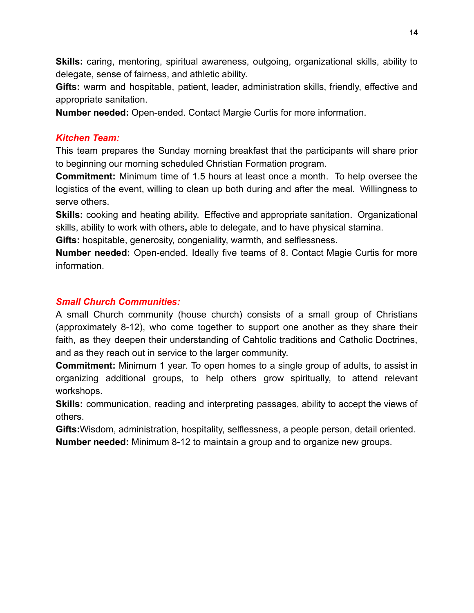**Skills:** caring, mentoring, spiritual awareness, outgoing, organizational skills, ability to delegate, sense of fairness, and athletic ability.

**Gifts:** warm and hospitable, patient, leader, administration skills, friendly, effective and appropriate sanitation.

**Number needed:** Open-ended. Contact Margie Curtis for more information.

# *Kitchen Team:*

This team prepares the Sunday morning breakfast that the participants will share prior to beginning our morning scheduled Christian Formation program.

**Commitment:** Minimum time of 1.5 hours at least once a month. To help oversee the logistics of the event, willing to clean up both during and after the meal. Willingness to serve others.

**Skills:** cooking and heating ability. Effective and appropriate sanitation. Organizational skills, ability to work with others**,** able to delegate, and to have physical stamina.

**Gifts:** hospitable, generosity, congeniality, warmth, and selflessness.

**Number needed:** Open-ended. Ideally five teams of 8. Contact Magie Curtis for more information.

# *Small Church Communities:*

A small Church community (house church) consists of a small group of Christians (approximately 8-12), who come together to support one another as they share their faith, as they deepen their understanding of Cahtolic traditions and Catholic Doctrines, and as they reach out in service to the larger community.

**Commitment:** Minimum 1 year. To open homes to a single group of adults, to assist in organizing additional groups, to help others grow spiritually, to attend relevant workshops.

**Skills:** communication, reading and interpreting passages, ability to accept the views of others.

**Gifts:**Wisdom, administration, hospitality, selflessness, a people person, detail oriented. **Number needed:** Minimum 8-12 to maintain a group and to organize new groups.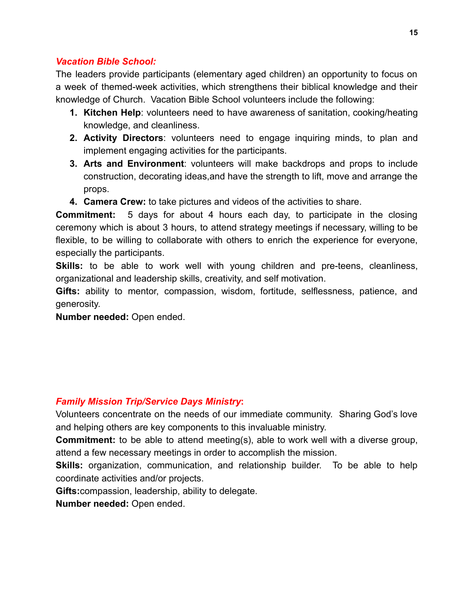# *Vacation Bible School:*

The leaders provide participants (elementary aged children) an opportunity to focus on a week of themed-week activities, which strengthens their biblical knowledge and their knowledge of Church. Vacation Bible School volunteers include the following:

- **1. Kitchen Help**: volunteers need to have awareness of sanitation, cooking/heating knowledge, and cleanliness.
- **2. Activity Directors**: volunteers need to engage inquiring minds, to plan and implement engaging activities for the participants.
- **3. Arts and Environment**: volunteers will make backdrops and props to include construction, decorating ideas,and have the strength to lift, move and arrange the props.
- **4. Camera Crew:** to take pictures and videos of the activities to share.

**Commitment:** 5 days for about 4 hours each day, to participate in the closing ceremony which is about 3 hours, to attend strategy meetings if necessary, willing to be flexible, to be willing to collaborate with others to enrich the experience for everyone, especially the participants.

**Skills:** to be able to work well with young children and pre-teens, cleanliness, organizational and leadership skills, creativity, and self motivation.

**Gifts:** ability to mentor, compassion, wisdom, fortitude, selflessness, patience, and generosity.

**Number needed:** Open ended.

# *Family Mission Trip/Service Days Ministry***:**

Volunteers concentrate on the needs of our immediate community. Sharing God's love and helping others are key components to this invaluable ministry.

**Commitment:** to be able to attend meeting(s), able to work well with a diverse group, attend a few necessary meetings in order to accomplish the mission.

**Skills:** organization, communication, and relationship builder. To be able to help coordinate activities and/or projects.

**Gifts:**compassion, leadership, ability to delegate.

**Number needed:** Open ended.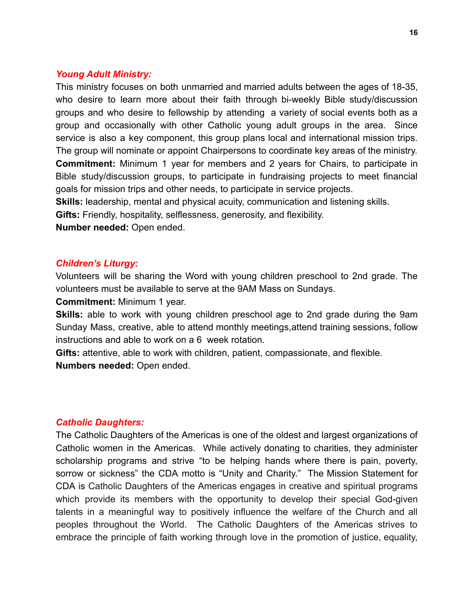#### *Young Adult Ministry:*

This ministry focuses on both unmarried and married adults between the ages of 18-35, who desire to learn more about their faith through bi-weekly Bible study/discussion groups and who desire to fellowship by attending a variety of social events both as a group and occasionally with other Catholic young adult groups in the area. Since service is also a key component, this group plans local and international mission trips. The group will nominate or appoint Chairpersons to coordinate key areas of the ministry. **Commitment:** Minimum 1 year for members and 2 years for Chairs, to participate in Bible study/discussion groups, to participate in fundraising projects to meet financial goals for mission trips and other needs, to participate in service projects.

**Skills:** leadership, mental and physical acuity, communication and listening skills.

**Gifts:** Friendly, hospitality, selflessness, generosity, and flexibility.

**Number needed:** Open ended.

#### *Children's Liturgy:*

Volunteers will be sharing the Word with young children preschool to 2nd grade. The volunteers must be available to serve at the 9AM Mass on Sundays.

**Commitment:** Minimum 1 year.

**Skills:** able to work with young children preschool age to 2nd grade during the 9am Sunday Mass, creative, able to attend monthly meetings,attend training sessions, follow instructions and able to work on a 6 week rotation.

**Gifts:** attentive, able to work with children, patient, compassionate, and flexible. **Numbers needed:** Open ended.

#### *Catholic Daughters:*

The Catholic [Daughters](http://www.catholicdaughters.org/) of the Americas is one of the oldest and largest organizations of Catholic women in the Americas. While actively donating to charities, they administer scholarship programs and strive "to be helping hands where there is pain, poverty, sorrow or sickness" the CDA motto is "Unity and Charity." The Mission Statement for CDA is Catholic Daughters of the Americas engages in creative and spiritual programs which provide its members with the opportunity to develop their special God-given talents in a meaningful way to positively influence the welfare of the Church and all peoples throughout the World. The Catholic Daughters of the Americas strives to embrace the principle of faith working through love in the promotion of justice, equality,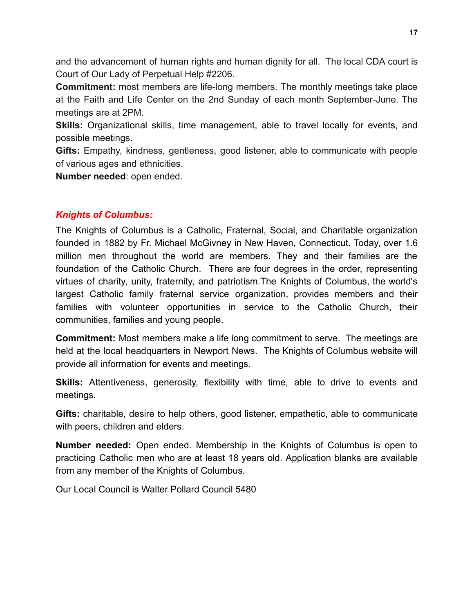and the advancement of human rights and human dignity for all. The local CDA court is Court of Our Lady of Perpetual Help #2206.

**Commitment:** most members are life-long members. The monthly meetings take place at the Faith and Life Center on the 2nd Sunday of each month September-June. The meetings are at 2PM.

**Skills:** Organizational skills, time management, able to travel locally for events, and possible meetings.

**Gifts:** Empathy, kindness, gentleness, good listener, able to communicate with people of various ages and ethnicities.

**Number needed**: open ended.

# *Knights of Columbus:*

The Knights of [Columbus](http://www.kofc.org/un/eb/en/index.html) is a Catholic, Fraternal, Social, and Charitable organization founded in 1882 by Fr. Michael McGivney in New Haven, Connecticut. Today, over 1.6 million men throughout the world are members. They and their families are the foundation of the Catholic Church. There are four degrees in the order, representing virtues of charity, unity, fraternity, and patriotism.The Knights of Columbus, the world's largest Catholic family fraternal service organization, provides members and their families with volunteer opportunities in service to the Catholic Church, their communities, families and young people.

**Commitment:** Most members make a life long commitment to serve. The meetings are held at the local headquarters in Newport News. The Knights of Columbus website will provide all information for events and meetings.

**Skills:** Attentiveness, generosity, flexibility with time, able to drive to events and meetings.

**Gifts:** charitable, desire to help others, good listener, empathetic, able to communicate with peers, children and elders.

**Number needed:** Open ended. Membership in the Knights of Columbus is open to practicing Catholic men who are at least 18 years old. Application blanks are available from any member of the Knights of Columbus.

Our Local Council is [Walter Pollard Council 5480](http://kofc5480.org/)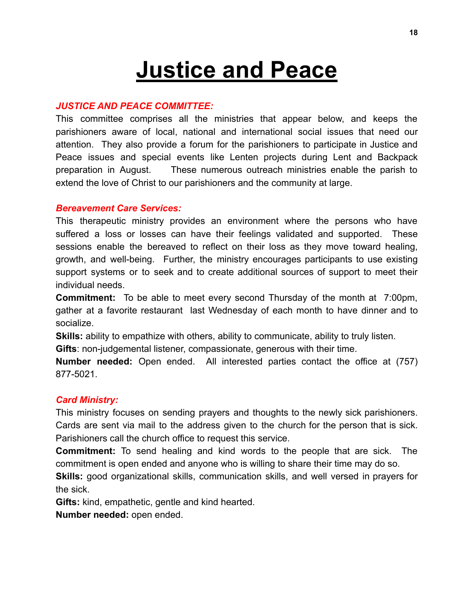# **Justice and Peace**

#### *JUSTICE AND PEACE COMMITTEE:*

This committee comprises all the ministries that appear below, and keeps the parishioners aware of local, national and international social issues that need our attention. They also provide a forum for the parishioners to participate in Justice and Peace issues and special events like Lenten projects during Lent and Backpack preparation in August. These numerous outreach ministries enable the parish to extend the love of Christ to our parishioners and the community at large.

#### *Bereavement Care Services:*

This therapeutic ministry provides an environment where the persons who have suffered a loss or losses can have their feelings validated and supported. These sessions enable the bereaved to reflect on their loss as they move toward healing, growth, and well-being. Further, the ministry encourages participants to use existing support systems or to seek and to create additional sources of support to meet their individual needs.

**Commitment:** To be able to meet every second Thursday of the month at 7:00pm, gather at a favorite restaurant last Wednesday of each month to have dinner and to socialize.

**Skills:** ability to empathize with others, ability to communicate, ability to truly listen.

**Gifts**: non-judgemental listener, compassionate, generous with their time.

**Number needed:** Open ended. All interested parties contact the office at (757) 877-5021.

#### *Card Ministry:*

This ministry focuses on sending prayers and thoughts to the newly sick parishioners. Cards are sent via mail to the address given to the church for the person that is sick. Parishioners call the church office to request this service.

**Commitment:** To send healing and kind words to the people that are sick. The commitment is open ended and anyone who is willing to share their time may do so.

**Skills:** good organizational skills, communication skills, and well versed in prayers for the sick.

**Gifts:** kind, empathetic, gentle and kind hearted.

**Number needed:** open ended.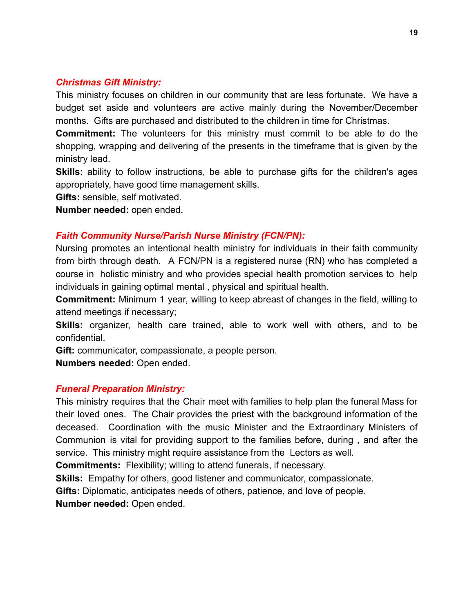#### *Christmas Gift Ministry:*

This ministry focuses on children in our community that are less fortunate. We have a budget set aside and volunteers are active mainly during the November/December months. Gifts are purchased and distributed to the children in time for Christmas.

**Commitment:** The volunteers for this ministry must commit to be able to do the shopping, wrapping and delivering of the presents in the timeframe that is given by the ministry lead.

**Skills:** ability to follow instructions, be able to purchase gifts for the children's ages appropriately, have good time management skills.

**Gifts:** sensible, self motivated.

**Number needed:** open ended.

### *Faith Community Nurse/Parish Nurse Ministry (FCN/PN):*

Nursing promotes an intentional health ministry for individuals in their faith community from birth through death. A FCN/PN is a registered nurse (RN) who has completed a course in holistic ministry and who provides special health promotion services to help individuals in gaining optimal mental , physical and spiritual health.

**Commitment:** Minimum 1 year, willing to keep abreast of changes in the field, willing to attend meetings if necessary;

**Skills:** organizer, health care trained, able to work well with others, and to be confidential.

**Gift:** communicator, compassionate, a people person.

**Numbers needed:** Open ended.

#### *Funeral Preparation Ministry:*

This ministry requires that the Chair meet with families to help plan the funeral Mass for their loved ones. The Chair provides the priest with the background information of the deceased. Coordination with the music Minister and the Extraordinary Ministers of Communion is vital for providing support to the families before, during , and after the service. This ministry might require assistance from the Lectors as well.

**Commitments:** Flexibility; willing to attend funerals, if necessary.

**Skills:** Empathy for others, good listener and communicator, compassionate.

**Gifts:** Diplomatic, anticipates needs of others, patience, and love of people.

**Number needed:** Open ended.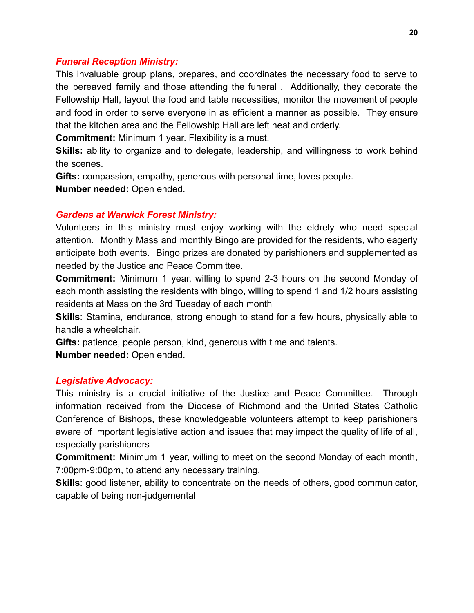#### *Funeral Reception Ministry:*

This invaluable group plans, prepares, and coordinates the necessary food to serve to the bereaved family and those attending the funeral . Additionally, they decorate the Fellowship Hall, layout the food and table necessities, monitor the movement of people and food in order to serve everyone in as efficient a manner as possible. They ensure that the kitchen area and the Fellowship Hall are left neat and orderly.

**Commitment:** Minimum 1 year. Flexibility is a must.

**Skills:** ability to organize and to delegate, leadership, and willingness to work behind the scenes.

**Gifts:** compassion, empathy, generous with personal time, loves people. **Number needed:** Open ended.

#### *Gardens at Warwick Forest Ministry:*

Volunteers in this ministry must enjoy working with the eldrely who need special attention. Monthly Mass and monthly Bingo are provided for the residents, who eagerly anticipate both events. Bingo prizes are donated by parishioners and supplemented as needed by the Justice and Peace Committee.

**Commitment:** Minimum 1 year, willing to spend 2-3 hours on the second Monday of each month assisting the residents with bingo, willing to spend 1 and 1/2 hours assisting residents at Mass on the 3rd Tuesday of each month

**Skills**: Stamina, endurance, strong enough to stand for a few hours, physically able to handle a wheelchair.

**Gifts:** patience, people person, kind, generous with time and talents.

**Number needed:** Open ended.

#### *Legislative Advocacy:*

This ministry is a crucial initiative of the Justice and Peace Committee. Through information received from the Diocese of Richmond and the United States Catholic Conference of Bishops, these knowledgeable volunteers attempt to keep parishioners aware of important legislative action and issues that may impact the quality of life of all, especially parishioners

**Commitment:** Minimum 1 year, willing to meet on the second Monday of each month, 7:00pm-9:00pm, to attend any necessary training.

**Skills**: good listener, ability to concentrate on the needs of others, good communicator, capable of being non-judgemental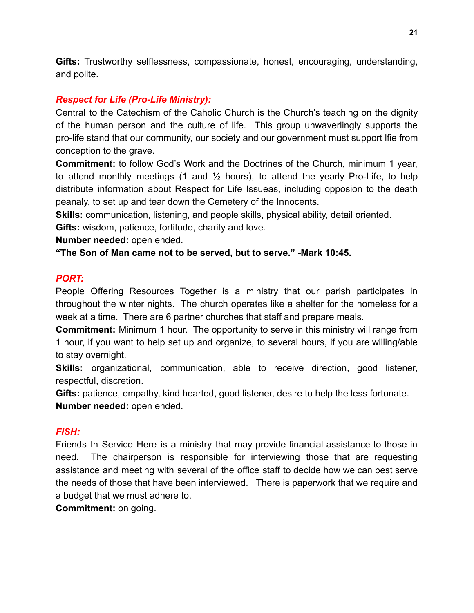**Gifts:** Trustworthy selflessness, compassionate, honest, encouraging, understanding, and polite.

# *Respect for Life (Pro-Life Ministry):*

Central to the Catechism of the Caholic Church is the Church's teaching on the dignity of the human person and the culture of life. This group unwaverlingly supports the pro-life stand that our community, our society and our government must support lfie from conception to the grave.

**Commitment:** to follow God's Work and the Doctrines of the Church, minimum 1 year, to attend monthly meetings (1 and  $\frac{1}{2}$  hours), to attend the yearly Pro-Life, to help distribute information about Respect for Life Issueas, including opposion to the death peanaly, to set up and tear down the Cemetery of the Innocents.

**Skills:** communication, listening, and people skills, physical ability, detail oriented.

**Gifts:** wisdom, patience, fortitude, charity and love.

**Number needed:** open ended.

**"The Son of Man came not to be served, but to serve." -Mark 10:45.**

# *PORT:*

People Offering Resources Together is a ministry that our parish participates in throughout the winter nights. The church operates like a shelter for the homeless for a week at a time. There are 6 partner churches that staff and prepare meals.

**Commitment:** Minimum 1 hour. The opportunity to serve in this ministry will range from 1 hour, if you want to help set up and organize, to several hours, if you are willing/able to stay overnight.

**Skills:** organizational, communication, able to receive direction, good listener, respectful, discretion.

**Gifts:** patience, empathy, kind hearted, good listener, desire to help the less fortunate. **Number needed:** open ended.

# *FISH:*

Friends In Service Here is a ministry that may provide financial assistance to those in need. The chairperson is responsible for interviewing those that are requesting assistance and meeting with several of the office staff to decide how we can best serve the needs of those that have been interviewed. There is paperwork that we require and a budget that we must adhere to.

**Commitment:** on going.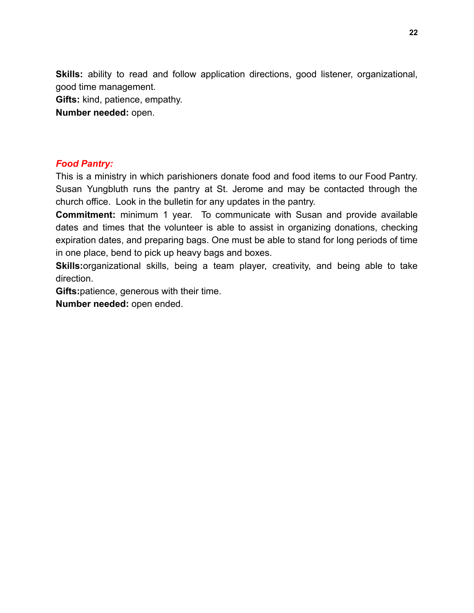**Skills:** ability to read and follow application directions, good listener, organizational, good time management.

**Gifts:** kind, patience, empathy.

**Number needed:** open.

## *Food Pantry:*

This is a ministry in which parishioners donate food and food items to our Food Pantry. Susan Yungbluth runs the pantry at St. Jerome and may be contacted through the church office. Look in the bulletin for any updates in the pantry.

**Commitment:** minimum 1 year. To communicate with Susan and provide available dates and times that the volunteer is able to assist in organizing donations, checking expiration dates, and preparing bags. One must be able to stand for long periods of time in one place, bend to pick up heavy bags and boxes.

**Skills:**organizational skills, being a team player, creativity, and being able to take direction.

**Gifts:**patience, generous with their time.

**Number needed:** open ended.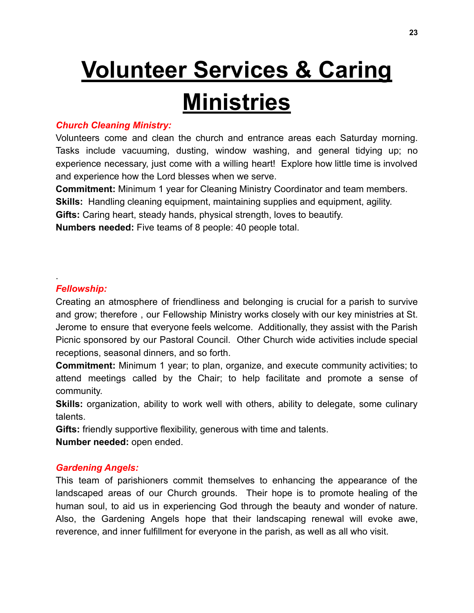# **Volunteer Services & Caring**

# **Ministries**

# *Church Cleaning Ministry:*

Volunteers come and clean the church and entrance areas each Saturday morning. Tasks include vacuuming, dusting, window washing, and general tidying up; no experience necessary, just come with a willing heart! Explore how little time is involved and experience how the Lord blesses when we serve.

**Commitment:** Minimum 1 year for Cleaning Ministry Coordinator and team members.

**Skills:** Handling cleaning equipment, maintaining supplies and equipment, agility.

**Gifts:** Caring heart, steady hands, physical strength, loves to beautify.

**Numbers needed:** Five teams of 8 people: 40 people total.

# *Fellowship:*

.

Creating an atmosphere of friendliness and belonging is crucial for a parish to survive and grow; therefore , our Fellowship Ministry works closely with our key ministries at St. Jerome to ensure that everyone feels welcome. Additionally, they assist with the Parish Picnic sponsored by our Pastoral Council. Other Church wide activities include special receptions, seasonal dinners, and so forth.

**Commitment:** Minimum 1 year; to plan, organize, and execute community activities; to attend meetings called by the Chair; to help facilitate and promote a sense of community.

**Skills:** organization, ability to work well with others, ability to delegate, some culinary talents.

**Gifts:** friendly supportive flexibility, generous with time and talents.

**Number needed:** open ended.

# *Gardening Angels:*

This team of parishioners commit themselves to enhancing the appearance of the landscaped areas of our Church grounds. Their hope is to promote healing of the human soul, to aid us in experiencing God through the beauty and wonder of nature. Also, the Gardening Angels hope that their landscaping renewal will evoke awe, reverence, and inner fulfillment for everyone in the parish, as well as all who visit.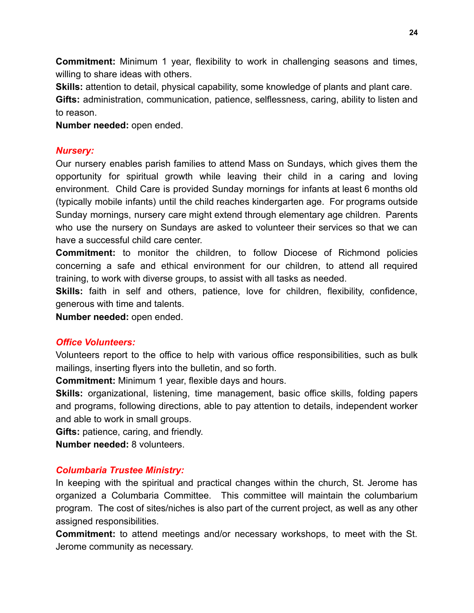**Commitment:** Minimum 1 year, flexibility to work in challenging seasons and times, willing to share ideas with others.

**Skills:** attention to detail, physical capability, some knowledge of plants and plant care.

**Gifts:** administration, communication, patience, selflessness, caring, ability to listen and to reason.

**Number needed:** open ended.

# *Nursery:*

Our nursery enables parish families to attend Mass on Sundays, which gives them the opportunity for spiritual growth while leaving their child in a caring and loving environment. Child Care is provided Sunday mornings for infants at least 6 months old (typically mobile infants) until the child reaches kindergarten age. For programs outside Sunday mornings, nursery care might extend through elementary age children. Parents who use the nursery on Sundays are asked to volunteer their services so that we can have a successful child care center.

**Commitment:** to monitor the children, to follow Diocese of Richmond policies concerning a safe and ethical environment for our children, to attend all required training, to work with diverse groups, to assist with all tasks as needed.

**Skills:** faith in self and others, patience, love for children, flexibility, confidence, generous with time and talents.

**Number needed:** open ended.

# *Office Volunteers:*

Volunteers report to the office to help with various office responsibilities, such as bulk mailings, inserting flyers into the bulletin, and so forth.

**Commitment:** Minimum 1 year, flexible days and hours.

**Skills:** organizational, listening, time management, basic office skills, folding papers and programs, following directions, able to pay attention to details, independent worker and able to work in small groups.

**Gifts:** patience, caring, and friendly.

**Number needed:** 8 volunteers.

# *Columbaria Trustee Ministry:*

In keeping with the spiritual and practical changes within the church, St. Jerome has organized a Columbaria Committee. This committee will maintain the columbarium program. The cost of sites/niches is also part of the current project, as well as any other assigned responsibilities.

**Commitment:** to attend meetings and/or necessary workshops, to meet with the St. Jerome community as necessary.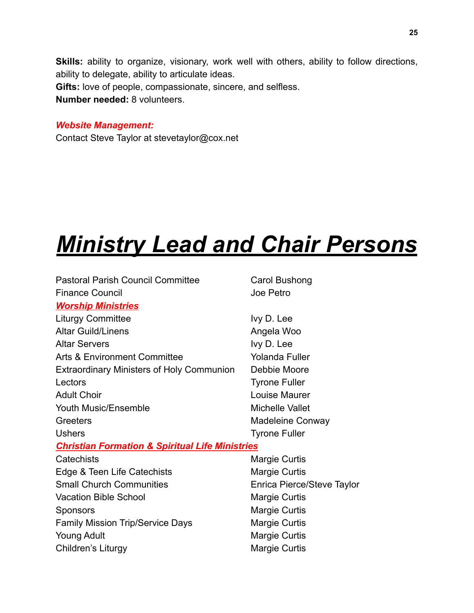**Skills:** ability to organize, visionary, work well with others, ability to follow directions, ability to delegate, ability to articulate ideas. **Gifts:** love of people, compassionate, sincere, and selfless. **Number needed:** 8 volunteers.

#### *Website Management:*

Contact Steve Taylor at stevetaylor@cox.net

# *Ministry Lead and Chair Persons*

| <b>Pastoral Parish Council Committee</b>                   | Carol Bushong              |  |  |
|------------------------------------------------------------|----------------------------|--|--|
| <b>Finance Council</b>                                     | Joe Petro                  |  |  |
| <b>Worship Ministries</b>                                  |                            |  |  |
| <b>Liturgy Committee</b>                                   | Ivy D. Lee                 |  |  |
| <b>Altar Guild/Linens</b>                                  | Angela Woo                 |  |  |
| <b>Altar Servers</b>                                       | Ivy D. Lee                 |  |  |
| <b>Arts &amp; Environment Committee</b>                    | <b>Yolanda Fuller</b>      |  |  |
| <b>Extraordinary Ministers of Holy Communion</b>           | Debbie Moore               |  |  |
| Lectors                                                    | <b>Tyrone Fuller</b>       |  |  |
| <b>Adult Choir</b>                                         | Louise Maurer              |  |  |
| <b>Youth Music/Ensemble</b>                                | <b>Michelle Vallet</b>     |  |  |
| Greeters                                                   | Madeleine Conway           |  |  |
| <b>Ushers</b>                                              | <b>Tyrone Fuller</b>       |  |  |
| <b>Christian Formation &amp; Spiritual Life Ministries</b> |                            |  |  |
| Catechists                                                 | <b>Margie Curtis</b>       |  |  |
| Edge & Teen Life Catechists                                | <b>Margie Curtis</b>       |  |  |
| <b>Small Church Communities</b>                            | Enrica Pierce/Steve Taylor |  |  |
| <b>Vacation Bible School</b>                               | <b>Margie Curtis</b>       |  |  |
| <b>Sponsors</b>                                            | Margie Curtis              |  |  |
| <b>Family Mission Trip/Service Days</b>                    | <b>Margie Curtis</b>       |  |  |
| <b>Young Adult</b>                                         | <b>Margie Curtis</b>       |  |  |
| Children's Liturgy                                         | <b>Margie Curtis</b>       |  |  |
|                                                            |                            |  |  |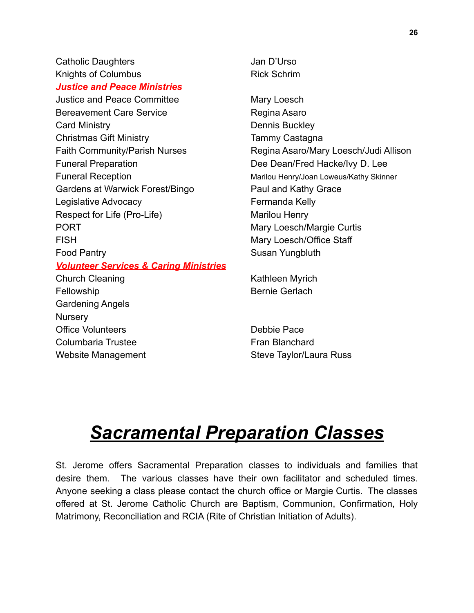Catholic Daughters **Catholic Daughters** Jan D'Urso Knights of Columbus **Rick Schrim** *Justice and Peace Ministries* Justice and Peace Committee Mary Loesch Bereavement Care Service **Regina Asaro** Card Ministry **Dennis Buckley** Christmas Gift Ministry **Tammy Castagna** Funeral Preparation **Exercise 20** Dee Dean/Fred Hacke/Ivy D. Lee Funeral Reception **Marilou Henry/Joan Loweus/Kathy Skinner** Gardens at Warwick Forest/Bingo Paul and Kathy Grace Legislative Advocacy **Fermanda** Kelly Respect for Life (Pro-Life) Marilou Henry PORT **Mary Loesch/Margie Curtis** FISH Mary Loesch/Office Staff Food Pantry **Susan Yungbluth** *Volunteer Services & Caring Ministries*

Fellowship **Bernie Gerlach** Gardening Angels **Nursery** Office Volunteers **Debbie Pace** Columbaria Trustee **Fran Blanchard** 

Faith Community/Parish Nurses Regina Asaro/Mary Loesch/Judi Allison

Church Cleaning **Kathleen Myrich** 

Website Management The Steve Taylor/Laura Russ

# *Sacramental Preparation Classes*

St. Jerome offers Sacramental Preparation classes to individuals and families that desire them. The various classes have their own facilitator and scheduled times. Anyone seeking a class please contact the church office or Margie Curtis. The classes offered at St. Jerome Catholic Church are Baptism, Communion, Confirmation, Holy Matrimony, Reconciliation and RCIA (Rite of Christian Initiation of Adults).